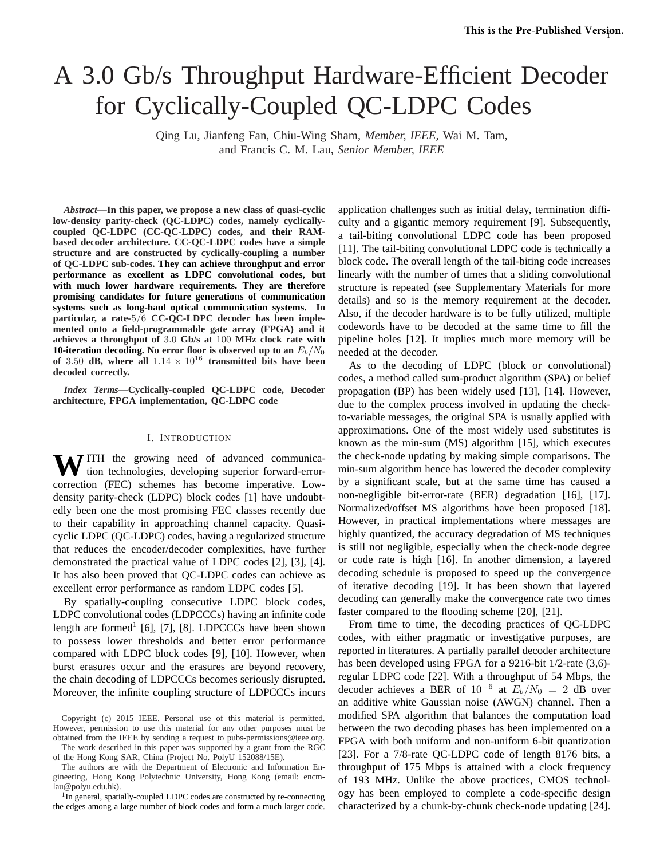# A 3.0 Gb/s Throughput Hardware-Efficient Decoder for Cyclically-Coupled QC-LDPC Codes

Qing Lu, Jianfeng Fan, Chiu-Wing Sham, *Member, IEEE,* Wai M. Tam, and Francis C. M. Lau, *Senior Member, IEEE*

*Abstract***—In this paper, we propose a new class of quasi-cyclic low-density parity-check (QC-LDPC) codes, namely cyclicallycoupled QC-LDPC (CC-QC-LDPC) codes, and their RAMbased decoder architecture. CC-QC-LDPC codes have a simple structure and are constructed by cyclically-coupling a number of QC-LDPC sub-codes. They can achieve throughput and error performance as excellent as LDPC convolutional codes, but with much lower hardware requirements. They are therefore promising candidates for future generations of communication systems such as long-haul optical communication systems. In particular, a rate-**5/6 **CC-QC-LDPC decoder has been implemented onto a field-programmable gate array (FPGA) and it achieves a throughput of** 3.0 **Gb/s at** 100 **MHz clock rate with 10-iteration decoding.** No error floor is observed up to an  $E_b/N_0$ **of** 3.50 **dB, where all**  $1.14 \times 10^{16}$  **transmitted bits have been decoded correctly.**

*Index Terms***—Cyclically-coupled QC-LDPC code, Decoder architecture, FPGA implementation, QC-LDPC code**

### I. INTRODUCTION

WITH the growing need of advanced communication technologies, developing superior forward-errorcorrection (FEC) schemes has become imperative. Lowdensity parity-check (LDPC) block codes [1] have undoubtedly been one the most promising FEC classes recently due to their capability in approaching channel capacity. Quasicyclic LDPC (QC-LDPC) codes, having a regularized structure that reduces the encoder/decoder complexities, have further demonstrated the practical value of LDPC codes [2], [3], [4]. It has also been proved that QC-LDPC codes can achieve as excellent error performance as random LDPC codes [5].

By spatially-coupling consecutive LDPC block codes, LDPC convolutional codes (LDPCCCs) having an infinite code length are formed<sup>1</sup> [6], [7], [8]. LDPCCCs have been shown to possess lower thresholds and better error performance compared with LDPC block codes [9], [10]. However, when burst erasures occur and the erasures are beyond recovery, the chain decoding of LDPCCCs becomes seriously disrupted. Moreover, the infinite coupling structure of LDPCCCs incurs

Copyright (c) 2015 IEEE. Personal use of this material is permitted. However, permission to use this material for any other purposes must be obtained from the IEEE by sending a request to pubs-permissions@ieee.org.

The work described in this paper was supported by a grant from the RGC of the Hong Kong SAR, China (Project No. PolyU 152088/15E).

The authors are with the Department of Electronic and Information Engineering, Hong Kong Polytechnic University, Hong Kong (email: encmlau@polyu.edu.hk).

<sup>1</sup>In general, spatially-coupled LDPC codes are constructed by re-connecting the edges among a large number of block codes and form a much larger code.

application challenges such as initial delay, termination difficulty and a gigantic memory requirement [9]. Subsequently, a tail-biting convolutional LDPC code has been proposed [11]. The tail-biting convolutional LDPC code is technically a block code. The overall length of the tail-biting code increases linearly with the number of times that a sliding convolutional structure is repeated (see Supplementary Materials for more details) and so is the memory requirement at the decoder. Also, if the decoder hardware is to be fully utilized, multiple codewords have to be decoded at the same time to fill the pipeline holes [12]. It implies much more memory will be needed at the decoder.

As to the decoding of LDPC (block or convolutional) codes, a method called sum-product algorithm (SPA) or belief propagation (BP) has been widely used [13], [14]. However, due to the complex process involved in updating the checkto-variable messages, the original SPA is usually applied with approximations. One of the most widely used substitutes is known as the min-sum (MS) algorithm [15], which executes the check-node updating by making simple comparisons. The min-sum algorithm hence has lowered the decoder complexity by a significant scale, but at the same time has caused a non-negligible bit-error-rate (BER) degradation [16], [17]. Normalized/offset MS algorithms have been proposed [18]. However, in practical implementations where messages are highly quantized, the accuracy degradation of MS techniques is still not negligible, especially when the check-node degree or code rate is high [16]. In another dimension, a layered decoding schedule is proposed to speed up the convergence of iterative decoding [19]. It has been shown that layered decoding can generally make the convergence rate two times faster compared to the flooding scheme [20], [21].

From time to time, the decoding practices of QC-LDPC codes, with either pragmatic or investigative purposes, are reported in literatures. A partially parallel decoder architecture has been developed using FPGA for a 9216-bit 1/2-rate (3,6) regular LDPC code [22]. With a throughput of 54 Mbps, the decoder achieves a BER of  $10^{-6}$  at  $E_b/N_0 = 2$  dB over an additive white Gaussian noise (AWGN) channel. Then a modified SPA algorithm that balances the computation load between the two decoding phases has been implemented on a FPGA with both uniform and non-uniform 6-bit quantization [23]. For a 7/8-rate QC-LDPC code of length 8176 bits, a throughput of 175 Mbps is attained with a clock frequency of 193 MHz. Unlike the above practices, CMOS technology has been employed to complete a code-specific design characterized by a chunk-by-chunk check-node updating [24].

© 2015 IEEE. Personal use of this material is permitted. Permission from IEEE must be obtained for all other uses, in any current or future media, including reprinting/republishing this material for advertising or promotional purposes, creating new collective works, for resale or redistribution to servers or lists, or reuse of any copyrighted component of this work in other works.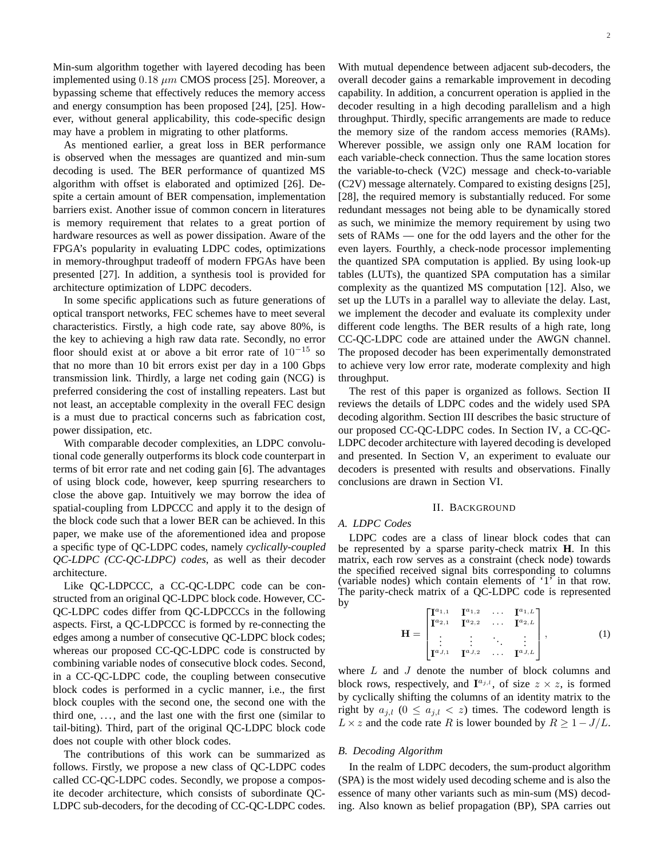Min-sum algorithm together with layered decoding has been implemented using  $0.18 \ \mu m$  CMOS process [25]. Moreover, a bypassing scheme that effectively reduces the memory access and energy consumption has been proposed [24], [25]. However, without general applicability, this code-specific design may have a problem in migrating to other platforms.

As mentioned earlier, a great loss in BER performance is observed when the messages are quantized and min-sum decoding is used. The BER performance of quantized MS algorithm with offset is elaborated and optimized [26]. Despite a certain amount of BER compensation, implementation barriers exist. Another issue of common concern in literatures is memory requirement that relates to a great portion of hardware resources as well as power dissipation. Aware of the FPGA's popularity in evaluating LDPC codes, optimizations in memory-throughput tradeoff of modern FPGAs have been presented [27]. In addition, a synthesis tool is provided for architecture optimization of LDPC decoders.

In some specific applications such as future generations of optical transport networks, FEC schemes have to meet several characteristics. Firstly, a high code rate, say above 80%, is the key to achieving a high raw data rate. Secondly, no error floor should exist at or above a bit error rate of  $10^{-15}$  so that no more than 10 bit errors exist per day in a 100 Gbps transmission link. Thirdly, a large net coding gain (NCG) is preferred considering the cost of installing repeaters. Last but not least, an acceptable complexity in the overall FEC design is a must due to practical concerns such as fabrication cost, power dissipation, etc.

With comparable decoder complexities, an LDPC convolutional code generally outperforms its block code counterpart in terms of bit error rate and net coding gain [6]. The advantages of using block code, however, keep spurring researchers to close the above gap. Intuitively we may borrow the idea of spatial-coupling from LDPCCC and apply it to the design of the block code such that a lower BER can be achieved. In this paper, we make use of the aforementioned idea and propose a specific type of QC-LDPC codes, namely *cyclically-coupled QC-LDPC (CC-QC-LDPC) codes*, as well as their decoder architecture.

Like QC-LDPCCC, a CC-QC-LDPC code can be constructed from an original QC-LDPC block code. However, CC-QC-LDPC codes differ from QC-LDPCCCs in the following aspects. First, a QC-LDPCCC is formed by re-connecting the edges among a number of consecutive QC-LDPC block codes; whereas our proposed CC-QC-LDPC code is constructed by combining variable nodes of consecutive block codes. Second, in a CC-QC-LDPC code, the coupling between consecutive block codes is performed in a cyclic manner, i.e., the first block couples with the second one, the second one with the third one,  $\dots$ , and the last one with the first one (similar to tail-biting). Third, part of the original QC-LDPC block code does not couple with other block codes.

The contributions of this work can be summarized as follows. Firstly, we propose a new class of QC-LDPC codes called CC-QC-LDPC codes. Secondly, we propose a composite decoder architecture, which consists of subordinate QC-LDPC sub-decoders, for the decoding of CC-QC-LDPC codes. With mutual dependence between adjacent sub-decoders, the overall decoder gains a remarkable improvement in decoding capability. In addition, a concurrent operation is applied in the decoder resulting in a high decoding parallelism and a high throughput. Thirdly, specific arrangements are made to reduce the memory size of the random access memories (RAMs). Wherever possible, we assign only one RAM location for each variable-check connection. Thus the same location stores the variable-to-check (V2C) message and check-to-variable (C2V) message alternately. Compared to existing designs [25], [28], the required memory is substantially reduced. For some redundant messages not being able to be dynamically stored as such, we minimize the memory requirement by using two sets of RAMs — one for the odd layers and the other for the even layers. Fourthly, a check-node processor implementing the quantized SPA computation is applied. By using look-up tables (LUTs), the quantized SPA computation has a similar complexity as the quantized MS computation [12]. Also, we set up the LUTs in a parallel way to alleviate the delay. Last, we implement the decoder and evaluate its complexity under different code lengths. The BER results of a high rate, long CC-QC-LDPC code are attained under the AWGN channel. The proposed decoder has been experimentally demonstrated to achieve very low error rate, moderate complexity and high throughput.

The rest of this paper is organized as follows. Section II reviews the details of LDPC codes and the widely used SPA decoding algorithm. Section III describes the basic structure of our proposed CC-QC-LDPC codes. In Section IV, a CC-QC-LDPC decoder architecture with layered decoding is developed and presented. In Section V, an experiment to evaluate our decoders is presented with results and observations. Finally conclusions are drawn in Section VI.

# II. BACKGROUND

# *A. LDPC Codes*

LDPC codes are a class of linear block codes that can be represented by a sparse parity-check matrix **H**. In this matrix, each row serves as a constraint (check node) towards the specified received signal bits corresponding to columns (variable nodes) which contain elements of '1' in that row. The parity-check matrix of a QC-LDPC code is represented by

$$
\mathbf{H} = \begin{bmatrix} \mathbf{I}^{a_{1,1}} & \mathbf{I}^{a_{1,2}} & \cdots & \mathbf{I}^{a_{1,L}} \\ \mathbf{I}^{a_{2,1}} & \mathbf{I}^{a_{2,2}} & \cdots & \mathbf{I}^{a_{2,L}} \\ \vdots & \vdots & \ddots & \vdots \\ \mathbf{I}^{a_{J,1}} & \mathbf{I}^{a_{J,2}} & \cdots & \mathbf{I}^{a_{J,L}} \end{bmatrix},
$$
 (1)

where  $L$  and  $J$  denote the number of block columns and block rows, respectively, and  $I^{a_{j,l}}$ , of size  $z \times z$ , is formed by cyclically shifting the columns of an identity matrix to the right by  $a_{j,l}$   $(0 \le a_{j,l} < z)$  times. The codeword length is  $L \times z$  and the code rate R is lower bounded by  $R \geq 1-J/L$ .

#### *B. Decoding Algorithm*

In the realm of LDPC decoders, the sum-product algorithm (SPA) is the most widely used decoding scheme and is also the essence of many other variants such as min-sum (MS) decoding. Also known as belief propagation (BP), SPA carries out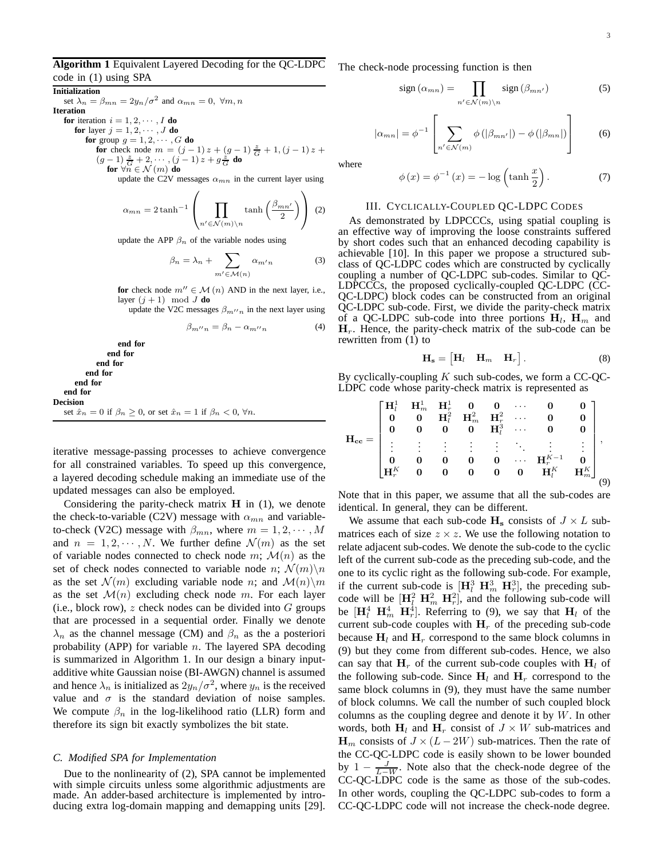# **Algorithm 1** Equivalent Layered Decoding for the QC-LDPC code in (1) using SPA

**Initialization** set  $\lambda_n = \beta_{mn} = 2y_n/\sigma^2$  and  $\alpha_{mn} = 0$ ,  $\forall m, n$ **Iteration for** iteration  $i = 1, 2, \cdots, I$  **do for** layer  $j = 1, 2, \dots, J$  **do for** group  $g = 1, 2, \cdots, G$  **do for** check node  $m = (j-1)z + (g-1)\frac{z}{G} + 1, (j-1)z +$  $(g-1)\frac{z}{G}+2,\cdots,(j-1)z+g\frac{z}{G}$  do for  $\forall \breve{n} \in \mathcal{N} \left( m \right)$  do

update the C2V messages  $\alpha_{mn}$  in the current layer using

$$
\alpha_{mn} = 2 \tanh^{-1} \left( \prod_{n' \in \mathcal{N}(m) \setminus n} \tanh \left( \frac{\beta_{mn'}}{2} \right) \right) (2)
$$

update the APP  $\beta_n$  of the variable nodes using

$$
\beta_n = \lambda_n + \sum_{m' \in \mathcal{M}(n)} \alpha_{m'n} \tag{3}
$$

**for** check node  $m'' \in \mathcal{M}(n)$  AND in the next layer, i.e., layer  $(j + 1) \mod J$  **do** 

update the V2C messages  $\beta_{m^{\prime\prime}n}$  in the next layer using

$$
\beta_{m''n} = \beta_n - \alpha_{m''n} \tag{4}
$$

**end for end for end for end for end for end for Decision** set  $\hat{x}_n = 0$  if  $\beta_n \geq 0$ , or set  $\hat{x}_n = 1$  if  $\beta_n < 0$ ,  $\forall n$ .

iterative message-passing processes to achieve convergence for all constrained variables. To speed up this convergence, a layered decoding schedule making an immediate use of the updated messages can also be employed.

Considering the parity-check matrix  $H$  in  $(1)$ , we denote the check-to-variable (C2V) message with  $\alpha_{mn}$  and variableto-check (V2C) message with  $\beta_{mn}$ , where  $m = 1, 2, \dots, M$ and  $n = 1, 2, \dots, N$ . We further define  $\mathcal{N}(m)$  as the set of variable nodes connected to check node m;  $\mathcal{M}(n)$  as the set of check nodes connected to variable node n;  $\mathcal{N}(m)\backslash n$ as the set  $\mathcal{N}(m)$  excluding variable node n; and  $\mathcal{M}(n)\backslash m$ as the set  $\mathcal{M}(n)$  excluding check node m. For each layer (i.e., block row),  $z$  check nodes can be divided into  $G$  groups that are processed in a sequential order. Finally we denote  $\lambda_n$  as the channel message (CM) and  $\beta_n$  as the a posteriori probability (APP) for variable  $n$ . The layered SPA decoding is summarized in Algorithm 1. In our design a binary inputadditive white Gaussian noise (BI-AWGN) channel is assumed and hence  $\lambda_n$  is initialized as  $2y_n/\sigma^2$ , where  $y_n$  is the received value and  $\sigma$  is the standard deviation of noise samples. We compute  $\beta_n$  in the log-likelihood ratio (LLR) form and therefore its sign bit exactly symbolizes the bit state.

#### *C. Modified SPA for Implementation*

Due to the nonlinearity of (2), SPA cannot be implemented with simple circuits unless some algorithmic adjustments are made. An adder-based architecture is implemented by introducing extra log-domain mapping and demapping units [29]. The check-node processing function is then

$$
sign\left(\alpha_{mn}\right) = \prod_{n' \in \mathcal{N}(m) \backslash n} sign\left(\beta_{mn'}\right) \tag{5}
$$

$$
|\alpha_{mn}| = \phi^{-1} \left[ \sum_{n' \in \mathcal{N}(m)} \phi\left(|\beta_{mn'}|\right) - \phi\left(|\beta_{mn}|\right) \right] \tag{6}
$$

where

$$
\phi(x) = \phi^{-1}(x) = -\log\left(\tanh\frac{x}{2}\right). \tag{7}
$$

## III. CYCLICALLY-COUPLED QC-LDPC CODES

As demonstrated by LDPCCCs, using spatial coupling is an effective way of improving the loose constraints suffered by short codes such that an enhanced decoding capability is achievable [10]. In this paper we propose a structured subclass of QC-LDPC codes which are constructed by cyclically coupling a number of QC-LDPC sub-codes. Similar to QC-LDPCCCs, the proposed cyclically-coupled QC-LDPC (CC-QC-LDPC) block codes can be constructed from an original QC-LDPC sub-code. First, we divide the parity-check matrix of a QC-LDPC sub-code into three portions  $H_l$ ,  $H_m$  and  $H_r$ . Hence, the parity-check matrix of the sub-code can be rewritten from (1) to

$$
\mathbf{H_s} = \begin{bmatrix} \mathbf{H}_l & \mathbf{H}_m & \mathbf{H}_r \end{bmatrix} . \tag{8}
$$

By cyclically-coupling K such sub-codes, we form a CC-QC-LDPC code whose parity-check matrix is represented as

$$
\mathbf{H_{cc}} = \begin{bmatrix} \mathbf{H}_{l}^{1} & \mathbf{H}_{m}^{1} & \mathbf{H}_{r}^{1} & \mathbf{0} & \mathbf{0} & \cdots & \mathbf{0} & \mathbf{0} \\ \mathbf{0} & \mathbf{0} & \mathbf{H}_{l}^{2} & \mathbf{H}_{m}^{2} & \mathbf{H}_{r}^{2} & \cdots & \mathbf{0} & \mathbf{0} \\ \mathbf{0} & \mathbf{0} & \mathbf{0} & \mathbf{0} & \mathbf{H}_{l}^{3} & \cdots & \mathbf{0} & \mathbf{0} \\ \vdots & \vdots & \vdots & \vdots & \vdots & \ddots & \vdots & \vdots \\ \mathbf{0} & \mathbf{0} & \mathbf{0} & \mathbf{0} & \mathbf{0} & \cdots & \mathbf{H}_{r}^{K-1} & \mathbf{0} \\ \mathbf{H}_{r}^{K} & \mathbf{0} & \mathbf{0} & \mathbf{0} & \mathbf{0} & \mathbf{0} & \mathbf{H}_{l}^{K} & \mathbf{H}_{m}^{K} \end{bmatrix} ,
$$

Note that in this paper, we assume that all the sub-codes are identical. In general, they can be different.

We assume that each sub-code  $H_s$  consists of  $J \times L$  submatrices each of size  $z \times z$ . We use the following notation to relate adjacent sub-codes. We denote the sub-code to the cyclic left of the current sub-code as the preceding sub-code, and the one to its cyclic right as the following sub-code. For example, if the current sub-code is  $[\mathbf{H}_{l}^{3} \ \mathbf{H}_{m}^{3} \ \mathbf{H}_{r}^{3}]$ , the preceding subcode will be  $[\mathbf{H}_{l}^{2} \ \mathbf{H}_{m}^{2} \ \mathbf{H}_{r}^{2}]$ , and the following sub-code will be  $[\mathbf{H}_{l}^{4} \ \mathbf{H}_{m}^{4} \ \mathbf{H}_{r}^{4}]$ . Referring to (9), we say that  $\mathbf{H}_{l}$  of the current sub-code couples with  $H_r$  of the preceding sub-code because  $H_l$  and  $H_r$  correspond to the same block columns in (9) but they come from different sub-codes. Hence, we also can say that  $H_r$  of the current sub-code couples with  $H_l$  of the following sub-code. Since  $H_l$  and  $H_r$  correspond to the same block columns in (9), they must have the same number of block columns. We call the number of such coupled block columns as the coupling degree and denote it by  $W$ . In other words, both  $H_l$  and  $H_r$  consist of  $J \times W$  sub-matrices and  $\mathbf{H}_m$  consists of  $J \times (L - 2W)$  sub-matrices. Then the rate of the CC-QC-LDPC code is easily shown to be lower bounded by  $1 - \frac{J}{L-W}$ . Note also that the check-node degree of the CC-QC-LDPC code is the same as those of the sub-codes. In other words, coupling the QC-LDPC sub-codes to form a CC-QC-LDPC code will not increase the check-node degree.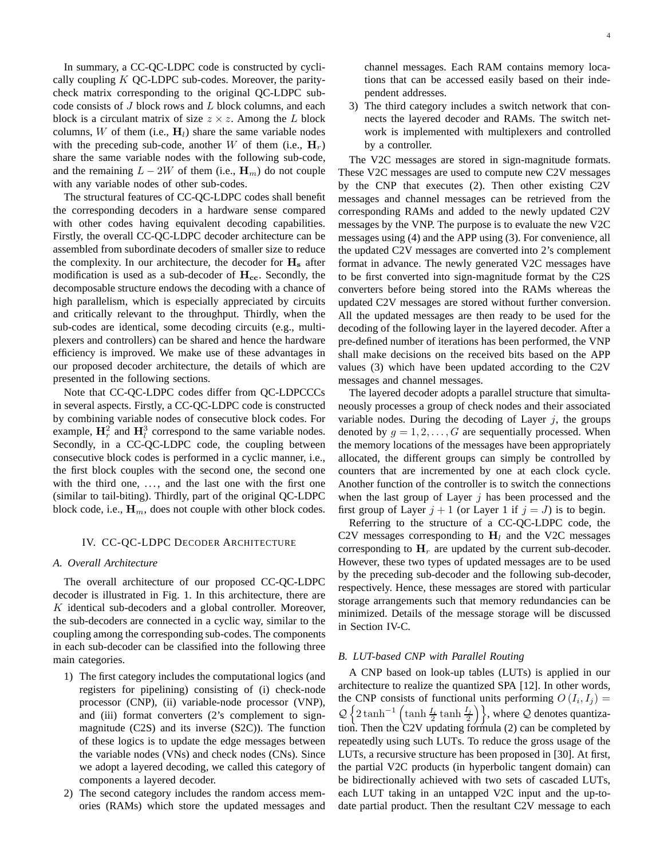In summary, a CC-QC-LDPC code is constructed by cyclically coupling  $K$  QC-LDPC sub-codes. Moreover, the paritycheck matrix corresponding to the original QC-LDPC subcode consists of  $J$  block rows and  $L$  block columns, and each block is a circulant matrix of size  $z \times z$ . Among the L block columns, W of them (i.e.,  $H_l$ ) share the same variable nodes with the preceding sub-code, another W of them (i.e.,  $H_r$ ) share the same variable nodes with the following sub-code, and the remaining  $L - 2W$  of them (i.e.,  $\mathbf{H}_m$ ) do not couple with any variable nodes of other sub-codes.

The structural features of CC-QC-LDPC codes shall benefit the corresponding decoders in a hardware sense compared with other codes having equivalent decoding capabilities. Firstly, the overall CC-QC-LDPC decoder architecture can be assembled from subordinate decoders of smaller size to reduce the complexity. In our architecture, the decoder for  $H_s$  after modification is used as a sub-decoder of  $H_{cc}$ . Secondly, the decomposable structure endows the decoding with a chance of high parallelism, which is especially appreciated by circuits and critically relevant to the throughput. Thirdly, when the sub-codes are identical, some decoding circuits (e.g., multiplexers and controllers) can be shared and hence the hardware efficiency is improved. We make use of these advantages in our proposed decoder architecture, the details of which are presented in the following sections.

Note that CC-QC-LDPC codes differ from QC-LDPCCCs in several aspects. Firstly, a CC-QC-LDPC code is constructed by combining variable nodes of consecutive block codes. For example,  $\mathbf{H}_r^2$  and  $\mathbf{H}_l^3$  correspond to the same variable nodes. Secondly, in a CC-QC-LDPC code, the coupling between consecutive block codes is performed in a cyclic manner, i.e., the first block couples with the second one, the second one with the third one, ..., and the last one with the first one (similar to tail-biting). Thirdly, part of the original QC-LDPC block code, i.e.,  $\mathbf{H}_m$ , does not couple with other block codes.

## IV. CC-QC-LDPC DECODER ARCHITECTURE

#### *A. Overall Architecture*

The overall architecture of our proposed CC-QC-LDPC decoder is illustrated in Fig. 1. In this architecture, there are  $K$  identical sub-decoders and a global controller. Moreover, the sub-decoders are connected in a cyclic way, similar to the coupling among the corresponding sub-codes. The components in each sub-decoder can be classified into the following three main categories.

- 1) The first category includes the computational logics (and registers for pipelining) consisting of (i) check-node processor (CNP), (ii) variable-node processor (VNP), and (iii) format converters (2's complement to signmagnitude (C2S) and its inverse (S2C)). The function of these logics is to update the edge messages between the variable nodes (VNs) and check nodes (CNs). Since we adopt a layered decoding, we called this category of components a layered decoder.
- 2) The second category includes the random access memories (RAMs) which store the updated messages and

channel messages. Each RAM contains memory locations that can be accessed easily based on their independent addresses.

3) The third category includes a switch network that connects the layered decoder and RAMs. The switch network is implemented with multiplexers and controlled by a controller.

The V2C messages are stored in sign-magnitude formats. These V2C messages are used to compute new C2V messages by the CNP that executes (2). Then other existing C2V messages and channel messages can be retrieved from the corresponding RAMs and added to the newly updated C2V messages by the VNP. The purpose is to evaluate the new V2C messages using (4) and the APP using (3). For convenience, all the updated C2V messages are converted into 2's complement format in advance. The newly generated V2C messages have to be first converted into sign-magnitude format by the C2S converters before being stored into the RAMs whereas the updated C2V messages are stored without further conversion. All the updated messages are then ready to be used for the decoding of the following layer in the layered decoder. After a pre-defined number of iterations has been performed, the VNP shall make decisions on the received bits based on the APP values (3) which have been updated according to the C2V messages and channel messages.

The layered decoder adopts a parallel structure that simultaneously processes a group of check nodes and their associated variable nodes. During the decoding of Layer  $j$ , the groups denoted by  $q = 1, 2, \ldots, G$  are sequentially processed. When the memory locations of the messages have been appropriately allocated, the different groups can simply be controlled by counters that are incremented by one at each clock cycle. Another function of the controller is to switch the connections when the last group of Layer  $j$  has been processed and the first group of Layer  $j + 1$  (or Layer 1 if  $j = J$ ) is to begin.

Referring to the structure of a CC-QC-LDPC code, the C2V messages corresponding to  $H_l$  and the V2C messages corresponding to  $H_r$  are updated by the current sub-decoder. However, these two types of updated messages are to be used by the preceding sub-decoder and the following sub-decoder, respectively. Hence, these messages are stored with particular storage arrangements such that memory redundancies can be minimized. Details of the message storage will be discussed in Section IV-C.

# *B. LUT-based CNP with Parallel Routing*

A CNP based on look-up tables (LUTs) is applied in our architecture to realize the quantized SPA [12]. In other words, the CNP consists of functional units performing  $O(I_i, I_j) =$  $\mathcal{Q}\left\{2\tanh^{-1}\left(\tanh\frac{I_j}{2}\tanh\frac{I_j}{2}\right)\right\}$ , where  $\mathcal Q$  denotes quantization. Then the C2V updating formula (2) can be completed by repeatedly using such LUTs. To reduce the gross usage of the LUTs, a recursive structure has been proposed in [30]. At first, the partial V2C products (in hyperbolic tangent domain) can be bidirectionally achieved with two sets of cascaded LUTs, each LUT taking in an untapped V2C input and the up-todate partial product. Then the resultant C2V message to each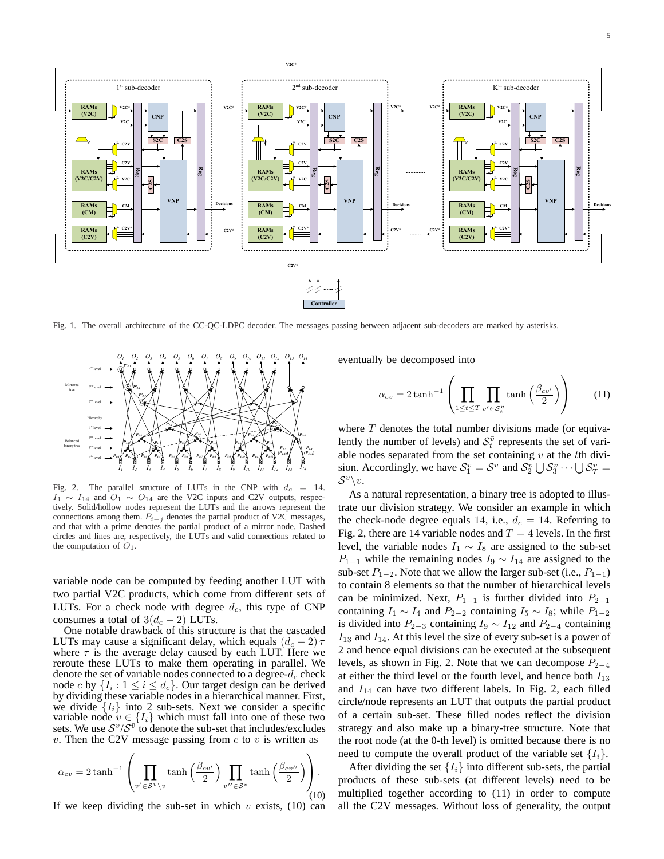

Fig. 1. The overall architecture of the CC-QC-LDPC decoder. The messages passing between adjacent sub-decoders are marked by asterisks.



Fig. 2. The parallel structure of LUTs in the CNP with  $d_c = 14$ .  $I_1 \sim I_{14}$  and  $O_1 \sim O_{14}$  are the V2C inputs and C2V outputs, respectively. Solid/hollow nodes represent the LUTs and the arrows represent the connections among them.  $P_{i-j}$  denotes the partial product of V2C messages, and that with a prime denotes the partial product of a mirror node. Dashed circles and lines are, respectively, the LUTs and valid connections related to the computation of  $O_1$ .

variable node can be computed by feeding another LUT with two partial V2C products, which come from different sets of LUTs. For a check node with degree  $d_c$ , this type of CNP consumes a total of  $3(d_c - 2)$  LUTs.

One notable drawback of this structure is that the cascaded LUTs may cause a significant delay, which equals  $(d_c - 2) \tau$ where  $\tau$  is the average delay caused by each LUT. Here we reroute these LUTs to make them operating in parallel. We denote the set of variable nodes connected to a degree- $d_c$  check node c by  $\{I_i: 1 \leq i \leq d_c\}$ . Our target design can be derived by dividing these variable nodes in a hierarchical manner. First, we divide  $\{I_i\}$  into 2 sub-sets. Next we consider a specific variable node  $v \in \{I_i\}$  which must fall into one of these two sets. We use  $S^v/S^{\overline{v}}$  to denote the sub-set that includes/excludes  $v$ . Then the C2V message passing from  $c$  to  $v$  is written as

$$
\alpha_{cv} = 2 \tanh^{-1} \left( \prod_{v' \in S^v \setminus v} \tanh \left( \frac{\beta_{cv'}}{2} \right) \prod_{v'' \in S^{\bar{v}}} \tanh \left( \frac{\beta_{cv''}}{2} \right) \right).
$$
\n(10)

If we keep dividing the sub-set in which  $v$  exists, (10) can

eventually be decomposed into

$$
\alpha_{cv} = 2 \tanh^{-1} \left( \prod_{1 \le t \le T} \prod_{v' \in S_t^{\bar{v}}} \tanh \left( \frac{\beta_{cv'}}{2} \right) \right) \tag{11}
$$

where  $T$  denotes the total number divisions made (or equivalently the number of levels) and  $S_t^{\bar{v}}$  represents the set of variable nodes separated from the set containing  $v$  at the tth division. Accordingly, we have  $S_1^{\bar{v}} = S^{\bar{v}}$  and  $S_2^{\bar{v}} \cup S_3^{\bar{v}} \cdots \cup S_T^{\bar{v}} =$  $\mathcal{S}^v\backslash v.$ 

As a natural representation, a binary tree is adopted to illustrate our division strategy. We consider an example in which the check-node degree equals 14, i.e.,  $d_c = 14$ . Referring to Fig. 2, there are 14 variable nodes and  $T = 4$  levels. In the first level, the variable nodes  $I_1 \sim I_8$  are assigned to the sub-set  $P_{1-1}$  while the remaining nodes  $I_9 \sim I_{14}$  are assigned to the sub-set  $P_{1-2}$ . Note that we allow the larger sub-set (i.e.,  $P_{1-1}$ ) to contain 8 elements so that the number of hierarchical levels can be minimized. Next,  $P_{1-1}$  is further divided into  $P_{2-1}$ containing  $I_1 \sim I_4$  and  $P_{2-2}$  containing  $I_5 \sim I_8$ ; while  $P_{1-2}$ is divided into  $P_{2-3}$  containing  $I_9 \sim I_{12}$  and  $P_{2-4}$  containing  $I_{13}$  and  $I_{14}$ . At this level the size of every sub-set is a power of 2 and hence equal divisions can be executed at the subsequent levels, as shown in Fig. 2. Note that we can decompose  $P_{2-4}$ at either the third level or the fourth level, and hence both  $I_{13}$ and  $I_{14}$  can have two different labels. In Fig. 2, each filled circle/node represents an LUT that outputs the partial product of a certain sub-set. These filled nodes reflect the division strategy and also make up a binary-tree structure. Note that the root node (at the 0-th level) is omitted because there is no need to compute the overall product of the variable set  $\{I_i\}$ .

After dividing the set  $\{I_i\}$  into different sub-sets, the partial products of these sub-sets (at different levels) need to be multiplied together according to (11) in order to compute all the C2V messages. Without loss of generality, the output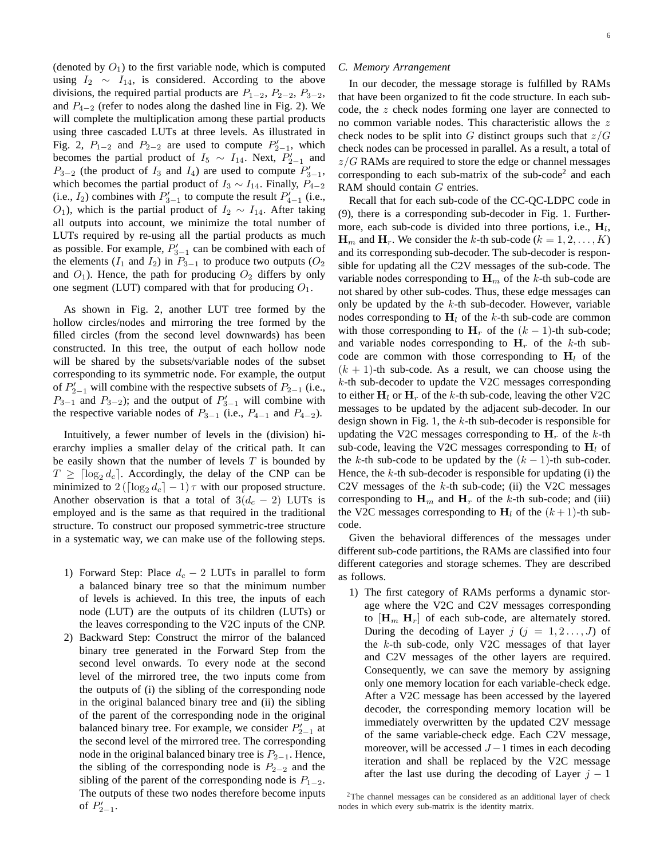(denoted by  $O_1$ ) to the first variable node, which is computed using  $I_2 \sim I_{14}$ , is considered. According to the above divisions, the required partial products are  $P_{1-2}$ ,  $P_{2-2}$ ,  $P_{3-2}$ , and  $P_{4-2}$  (refer to nodes along the dashed line in Fig. 2). We will complete the multiplication among these partial products using three cascaded LUTs at three levels. As illustrated in Fig. 2,  $P_{1-2}$  and  $P_{2-2}$  are used to compute  $P'_{2-1}$ , which becomes the partial product of  $I_5 \sim I_{14}$ . Next,  $P'_{2-1}$  and  $P_{3-2}$  (the product of  $I_3$  and  $I_4$ ) are used to compute  $P'_{3-1}$ , which becomes the partial product of  $I_3 \sim I_{14}$ . Finally,  $P_{4-2}$ (i.e.,  $I_2$ ) combines with  $P'_{3-1}$  to compute the result  $P'_{4-1}$  (i.e., O<sub>1</sub>), which is the partial product of  $I_2 \sim I_{14}$ . After taking all outputs into account, we minimize the total number of LUTs required by re-using all the partial products as much as possible. For example,  $P'_{3-1}$  can be combined with each of the elements ( $I_1$  and  $I_2$ ) in  $P_{3-1}$  to produce two outputs ( $O_2$ ) and  $O_1$ ). Hence, the path for producing  $O_2$  differs by only one segment (LUT) compared with that for producing  $O_1$ .

As shown in Fig. 2, another LUT tree formed by the hollow circles/nodes and mirroring the tree formed by the filled circles (from the second level downwards) has been constructed. In this tree, the output of each hollow node will be shared by the subsets/variable nodes of the subset corresponding to its symmetric node. For example, the output of  $P'_{2-1}$  will combine with the respective subsets of  $P_{2-1}$  (i.e.,  $P_{3-1}$  and  $P_{3-2}$ ); and the output of  $P'_{3-1}$  will combine with the respective variable nodes of  $P_{3-1}$  (i.e.,  $P_{4-1}$  and  $P_{4-2}$ ).

Intuitively, a fewer number of levels in the (division) hierarchy implies a smaller delay of the critical path. It can be easily shown that the number of levels  $T$  is bounded by  $T \geq \lceil \log_2 d_c \rceil$ . Accordingly, the delay of the CNP can be minimized to  $2(\lceil \log_2 d_c \rceil - 1) \tau$  with our proposed structure. Another observation is that a total of  $3(d_c - 2)$  LUTs is employed and is the same as that required in the traditional structure. To construct our proposed symmetric-tree structure in a systematic way, we can make use of the following steps.

- 1) Forward Step: Place  $d_c 2$  LUTs in parallel to form a balanced binary tree so that the minimum number of levels is achieved. In this tree, the inputs of each node (LUT) are the outputs of its children (LUTs) or the leaves corresponding to the V2C inputs of the CNP.
- 2) Backward Step: Construct the mirror of the balanced binary tree generated in the Forward Step from the second level onwards. To every node at the second level of the mirrored tree, the two inputs come from the outputs of (i) the sibling of the corresponding node in the original balanced binary tree and (ii) the sibling of the parent of the corresponding node in the original balanced binary tree. For example, we consider  $P'_{2-1}$  at the second level of the mirrored tree. The corresponding node in the original balanced binary tree is  $P_{2-1}$ . Hence, the sibling of the corresponding node is  $P_{2-2}$  and the sibling of the parent of the corresponding node is  $P_{1-2}$ . The outputs of these two nodes therefore become inputs of  $P'_{2-1}$ .

# *C. Memory Arrangement*

In our decoder, the message storage is fulfilled by RAMs that have been organized to fit the code structure. In each subcode, the z check nodes forming one layer are connected to no common variable nodes. This characteristic allows the z check nodes to be split into G distinct groups such that  $z/G$ check nodes can be processed in parallel. As a result, a total of  $z/G$  RAMs are required to store the edge or channel messages corresponding to each sub-matrix of the sub-code<sup>2</sup> and each RAM should contain G entries.

Recall that for each sub-code of the CC-QC-LDPC code in (9), there is a corresponding sub-decoder in Fig. 1. Furthermore, each sub-code is divided into three portions, i.e.,  $H_l$ ,  $\mathbf{H}_m$  and  $\mathbf{H}_r$ . We consider the k-th sub-code ( $k = 1, 2, ..., K$ ) and its corresponding sub-decoder. The sub-decoder is responsible for updating all the C2V messages of the sub-code. The variable nodes corresponding to  $H_m$  of the k-th sub-code are not shared by other sub-codes. Thus, these edge messages can only be updated by the  $k$ -th sub-decoder. However, variable nodes corresponding to  $H_l$  of the k-th sub-code are common with those corresponding to  $H_r$  of the  $(k-1)$ -th sub-code; and variable nodes corresponding to  $H_r$  of the k-th subcode are common with those corresponding to  $H<sub>l</sub>$  of the  $(k + 1)$ -th sub-code. As a result, we can choose using the k-th sub-decoder to update the V2C messages corresponding to either  $H_l$  or  $H_r$  of the k-th sub-code, leaving the other V2C messages to be updated by the adjacent sub-decoder. In our design shown in Fig. 1, the  $k$ -th sub-decoder is responsible for updating the V2C messages corresponding to  $H_r$  of the k-th sub-code, leaving the V2C messages corresponding to  $H_l$  of the k-th sub-code to be updated by the  $(k - 1)$ -th sub-coder. Hence, the  $k$ -th sub-decoder is responsible for updating (i) the C2V messages of the  $k$ -th sub-code; (ii) the V2C messages corresponding to  $H_m$  and  $H_r$  of the k-th sub-code; and (iii) the V2C messages corresponding to  $H_l$  of the  $(k+1)$ -th subcode.

Given the behavioral differences of the messages under different sub-code partitions, the RAMs are classified into four different categories and storage schemes. They are described as follows.

1) The first category of RAMs performs a dynamic storage where the V2C and C2V messages corresponding to  $[\mathbf{H}_m \ \mathbf{H}_r]$  of each sub-code, are alternately stored. During the decoding of Layer  $j$   $(j = 1, 2, \ldots, J)$  of the k-th sub-code, only V2C messages of that layer and C2V messages of the other layers are required. Consequently, we can save the memory by assigning only one memory location for each variable-check edge. After a V2C message has been accessed by the layered decoder, the corresponding memory location will be immediately overwritten by the updated C2V message of the same variable-check edge. Each C2V message, moreover, will be accessed  $J - 1$  times in each decoding iteration and shall be replaced by the V2C message after the last use during the decoding of Layer  $j - 1$ 

<sup>2</sup>The channel messages can be considered as an additional layer of check nodes in which every sub-matrix is the identity matrix.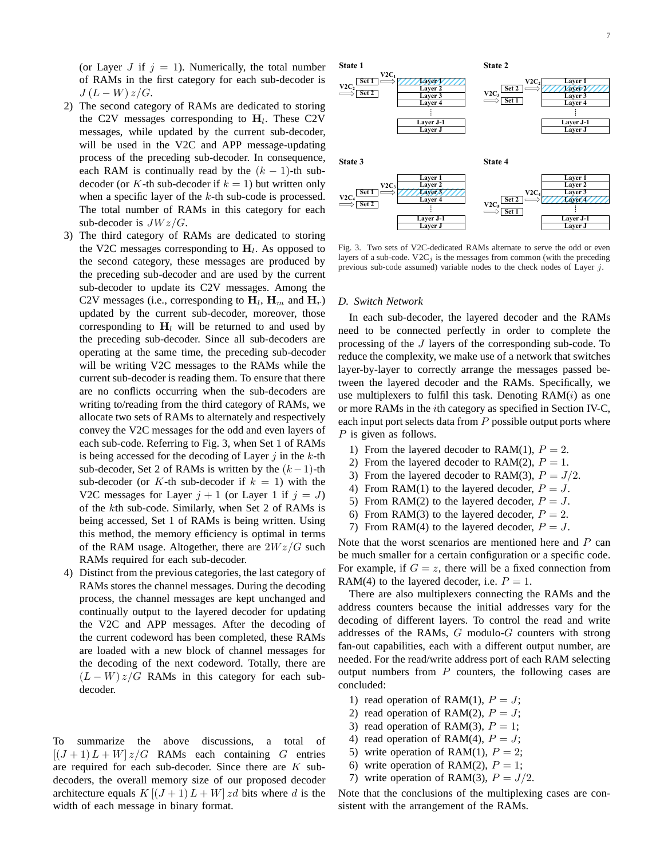(or Layer J if  $j = 1$ ). Numerically, the total number of RAMs in the first category for each sub-decoder is  $J(L-W)z/G$ .

- 2) The second category of RAMs are dedicated to storing the C2V messages corresponding to  $H_l$ . These C2V messages, while updated by the current sub-decoder, will be used in the V2C and APP message-updating process of the preceding sub-decoder. In consequence, each RAM is continually read by the  $(k - 1)$ -th subdecoder (or K-th sub-decoder if  $k = 1$ ) but written only when a specific layer of the  $k$ -th sub-code is processed. The total number of RAMs in this category for each sub-decoder is  $JWz/G$ .
- 3) The third category of RAMs are dedicated to storing the V2C messages corresponding to  $H_l$ . As opposed to the second category, these messages are produced by the preceding sub-decoder and are used by the current sub-decoder to update its C2V messages. Among the C2V messages (i.e., corresponding to  $\mathbf{H}_l$ ,  $\mathbf{H}_m$  and  $\mathbf{H}_r$ ) updated by the current sub-decoder, moreover, those corresponding to  $H_l$  will be returned to and used by the preceding sub-decoder. Since all sub-decoders are operating at the same time, the preceding sub-decoder will be writing V2C messages to the RAMs while the current sub-decoder is reading them. To ensure that there are no conflicts occurring when the sub-decoders are writing to/reading from the third category of RAMs, we allocate two sets of RAMs to alternately and respectively convey the V2C messages for the odd and even layers of each sub-code. Referring to Fig. 3, when Set 1 of RAMs is being accessed for the decoding of Layer  $j$  in the  $k$ -th sub-decoder, Set 2 of RAMs is written by the  $(k-1)$ -th sub-decoder (or K-th sub-decoder if  $k = 1$ ) with the V2C messages for Layer  $j + 1$  (or Layer 1 if  $j = J$ ) of the kth sub-code. Similarly, when Set 2 of RAMs is being accessed, Set 1 of RAMs is being written. Using this method, the memory efficiency is optimal in terms of the RAM usage. Altogether, there are  $2Wz/G$  such RAMs required for each sub-decoder.
- 4) Distinct from the previous categories, the last category of RAMs stores the channel messages. During the decoding process, the channel messages are kept unchanged and continually output to the layered decoder for updating the V2C and APP messages. After the decoding of the current codeword has been completed, these RAMs are loaded with a new block of channel messages for the decoding of the next codeword. Totally, there are  $(L - W) z/G$  RAMs in this category for each subdecoder.

To summarize the above discussions, a total of  $[(J+1)L+W]z/G$  RAMs each containing G entries are required for each sub-decoder. Since there are  $K$  subdecoders, the overall memory size of our proposed decoder architecture equals  $K[(J + 1)L + W]zd$  bits where d is the width of each message in binary format.



Fig. 3. Two sets of V2C-dedicated RAMs alternate to serve the odd or even layers of a sub-code.  $V2C_j$  is the messages from common (with the preceding previous sub-code assumed) variable nodes to the check nodes of Layer j.

# *D. Switch Network*

In each sub-decoder, the layered decoder and the RAMs need to be connected perfectly in order to complete the processing of the J layers of the corresponding sub-code. To reduce the complexity, we make use of a network that switches layer-by-layer to correctly arrange the messages passed between the layered decoder and the RAMs. Specifically, we use multiplexers to fulfil this task. Denoting  $RAM(i)$  as one or more RAMs in the ith category as specified in Section IV-C, each input port selects data from  $P$  possible output ports where P is given as follows.

- 1) From the layered decoder to RAM(1),  $P = 2$ .
- 2) From the layered decoder to RAM(2),  $P = 1$ .
- 3) From the layered decoder to RAM(3),  $P = J/2$ .
- 4) From RAM(1) to the layered decoder,  $P = J$ .
- 5) From RAM(2) to the layered decoder,  $P = J$ .
- 6) From RAM(3) to the layered decoder,  $P = 2$ .
- 7) From RAM(4) to the layered decoder,  $P = J$ .

Note that the worst scenarios are mentioned here and  $P$  can be much smaller for a certain configuration or a specific code. For example, if  $G = z$ , there will be a fixed connection from RAM(4) to the layered decoder, i.e.  $P = 1$ .

There are also multiplexers connecting the RAMs and the address counters because the initial addresses vary for the decoding of different layers. To control the read and write addresses of the RAMs,  $G$  modulo- $G$  counters with strong fan-out capabilities, each with a different output number, are needed. For the read/write address port of each RAM selecting output numbers from  $P$  counters, the following cases are concluded:

- 1) read operation of RAM(1),  $P = J$ ;
- 2) read operation of RAM(2),  $P = J$ ;
- 3) read operation of RAM(3),  $P = 1$ ;
- 4) read operation of RAM(4),  $P = J$ ;
- 5) write operation of RAM(1),  $P = 2$ ;
- 6) write operation of RAM(2),  $P = 1$ ;
- 7) write operation of RAM(3),  $P = J/2$ .

Note that the conclusions of the multiplexing cases are consistent with the arrangement of the RAMs.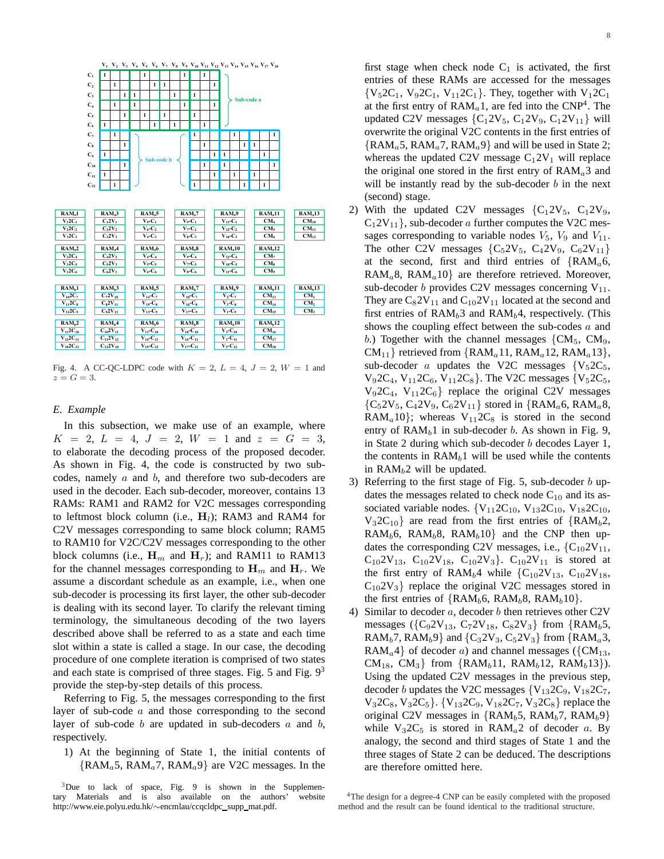

Fig. 4. A CC-QC-LDPC code with  $K = 2$ ,  $L = 4$ ,  $J = 2$ ,  $W = 1$  and  $z=G=3$ .

# *E. Example*

In this subsection, we make use of an example, where  $K = 2, L = 4, J = 2, W = 1$  and  $z = G = 3$ , to elaborate the decoding process of the proposed decoder. As shown in Fig. 4, the code is constructed by two subcodes, namely a and b, and therefore two sub-decoders are used in the decoder. Each sub-decoder, moreover, contains 13 RAMs: RAM1 and RAM2 for V2C messages corresponding to leftmost block column (i.e.,  $H_l$ ); RAM3 and RAM4 for C2V messages corresponding to same block column; RAM5 to RAM10 for V2C/C2V messages corresponding to the other block columns (i.e.,  $H_m$  and  $H_r$ ); and RAM11 to RAM13 for the channel messages corresponding to  $\mathbf{H}_m$  and  $\mathbf{H}_r$ . We assume a discordant schedule as an example, i.e., when one sub-decoder is processing its first layer, the other sub-decoder is dealing with its second layer. To clarify the relevant timing terminology, the simultaneous decoding of the two layers described above shall be referred to as a state and each time slot within a state is called a stage. In our case, the decoding procedure of one complete iteration is comprised of two states and each state is comprised of three stages. Fig. 5 and Fig.  $9<sup>3</sup>$ provide the step-by-step details of this process.

Referring to Fig. 5, the messages corresponding to the first layer of sub-code a and those corresponding to the second layer of sub-code  $b$  are updated in sub-decoders  $a$  and  $b$ , respectively.

1) At the beginning of State 1, the initial contents of  ${RAM_a 5, RAM_a 7, RAM_a 9}$  are V2C messages. In the first stage when check node  $C_1$  is activated, the first entries of these RAMs are accessed for the messages  ${V_52C_1, V_92C_1, V_{11}2C_1}.$  They, together with  $V_12C_1$ 

at the first entry of  $RAM<sub>a</sub>1$ , are fed into the  $CNP<sup>4</sup>$ . The updated C2V messages  ${C_12V_5, C_12V_9, C_12V_{11}}$  will overwrite the original V2C contents in the first entries of  ${RAM_a 5, RAM_a 7, RAM_a 9}$  and will be used in State 2; whereas the updated C2V message  $C_1 2V_1$  will replace the original one stored in the first entry of  $RAM<sub>a</sub>3$  and will be instantly read by the sub-decoder  $b$  in the next (second) stage.

- 2) With the updated C2V messages  ${C_12V_5, C_12V_9,}$  $C_12V_{11}$ , sub-decoder a further computes the V2C messages corresponding to variable nodes  $V_5$ ,  $V_9$  and  $V_{11}$ . The other C2V messages  ${C_52V_5, C_42V_9, C_62V_{11}}$ at the second, first and third entries of  $\{RAM_a 6,$  $RAM<sub>a</sub>8, RAM<sub>a</sub>10$ } are therefore retrieved. Moreover, sub-decoder b provides C2V messages concerning  $V_{11}$ . They are  $C_82V_{11}$  and  $C_{10}2V_{11}$  located at the second and first entries of  $RAM<sub>b</sub>3$  and  $RAM<sub>b</sub>4$ , respectively. (This shows the coupling effect between the sub-codes a and b.) Together with the channel messages  ${CM_5, CM_9,$  $CM_{11}$ } retrieved from {RAM<sub>a</sub>11, RAM<sub>a</sub>12, RAM<sub>a</sub>13}, sub-decoder a updates the V2C messages  ${V_52C_5}$ ,  $V_92C_4$ ,  $V_{11}2C_6$ ,  $V_{11}2C_8$ . The V2C messages  $\{V_52C_5,$  $V_92C_4$ ,  $V_{11}2C_6$ } replace the original C2V messages  ${C_52V_5, C_42V_9, C_62V_{11}}$  stored in {RAM<sub>a</sub>6, RAM<sub>a</sub>8, RAM<sub>a</sub>10}; whereas  $V_{11}2C_8$  is stored in the second entry of  $RAM<sub>b</sub>1$  in sub-decoder b. As shown in Fig. 9, in State 2 during which sub-decoder b decodes Layer 1, the contents in  $RAM<sub>b</sub>1$  will be used while the contents in  $RAM<sub>b</sub>2$  will be updated.
- 3) Referring to the first stage of Fig. 5, sub-decoder  $b$  updates the messages related to check node  $C_{10}$  and its associated variable nodes.  ${V_{11}2C_{10}$ ,  $V_{13}2C_{10}$ ,  $V_{18}2C_{10}$ ,  $V_32C_{10}$ } are read from the first entries of {RAM<sub>b</sub>2, RAM<sub>b</sub>6, RAM<sub>b</sub>8, RAM<sub>b</sub>10} and the CNP then updates the corresponding C2V messages, i.e.,  ${C_{10}2V_{11}}$ ,  $C_{10}2V_{13}$ ,  $C_{10}2V_{18}$ ,  $C_{10}2V_{3}$ .  $C_{10}2V_{11}$  is stored at the first entry of RAM<sub>b</sub>4 while  ${C_{10}2V_{13}}$ ,  $C_{10}2V_{18}$ ,  $C_{10}2V_3$ } replace the original V2C messages stored in the first entries of  $\{RAM_b6, RAM_b8, RAM_b10\}$ .
- 4) Similar to decoder  $a$ , decoder  $b$  then retrieves other C2V messages ( $\{C_92V_{13}, C_72V_{18}, C_82V_3\}$  from  $\{RAM_b 5,$ RAM<sub>b</sub>7, RAM<sub>b</sub>9} and  $\{C_3 2V_3, C_5 2V_3\}$  from  $\{RAM_a 3,$ RAM<sub>a</sub>4} of decoder a) and channel messages ( $\{CM_{13},$  $CM_{18}$ ,  $CM_{3}$  from {RAM<sub>b</sub>11, RAM<sub>b</sub>12, RAM<sub>b</sub>13}). Using the updated C2V messages in the previous step, decoder b updates the V2C messages  $\{V_{13}2C_9, V_{18}2C_7,$  $V_32C_8$ ,  $V_32C_5$ .  $\{V_{13}2C_9, V_{18}2C_7, V_32C_8\}$  replace the original C2V messages in  ${RAM_b5}$ , RAM<sub>b</sub>7, RAM<sub>b</sub>9} while  $V_3$ 2C<sub>5</sub> is stored in RAM<sub>a</sub>2 of decoder a. By analogy, the second and third stages of State 1 and the three stages of State 2 can be deduced. The descriptions are therefore omitted here.

 $3$ Due to lack of space, Fig. 9 is shown in the Supplementary Materials and is also available on the authors' website http://www.eie.polyu.edu.hk/∼encmlau/ccqcldpc\_supp\_mat.pdf.

<sup>&</sup>lt;sup>4</sup>The design for a degree-4 CNP can be easily completed with the proposed method and the result can be found identical to the traditional structure.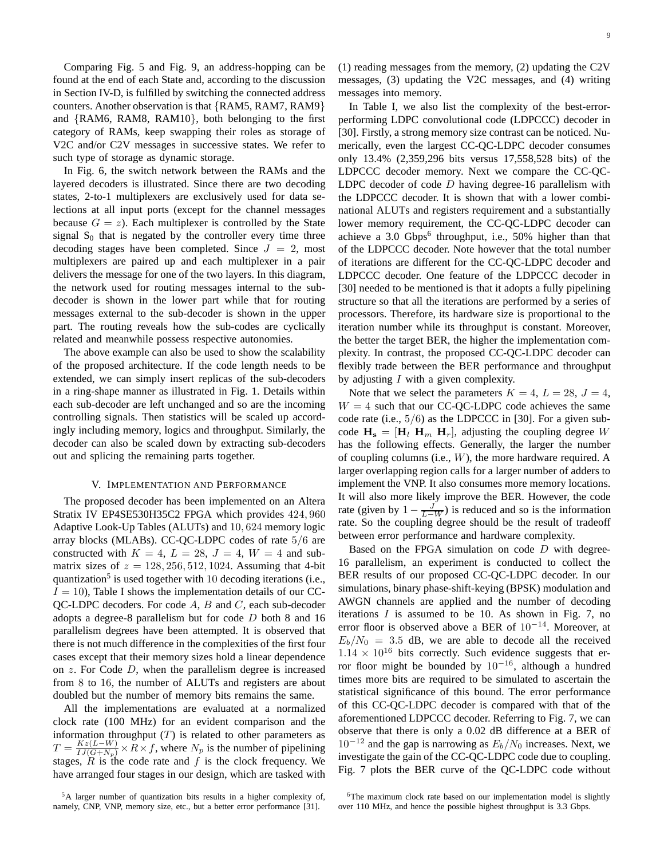Comparing Fig. 5 and Fig. 9, an address-hopping can be found at the end of each State and, according to the discussion in Section IV-D, is fulfilled by switching the connected address counters. Another observation is that {RAM5, RAM7, RAM9} and {RAM6, RAM8, RAM10}, both belonging to the first category of RAMs, keep swapping their roles as storage of V2C and/or C2V messages in successive states. We refer to such type of storage as dynamic storage.

In Fig. 6, the switch network between the RAMs and the layered decoders is illustrated. Since there are two decoding states, 2-to-1 multiplexers are exclusively used for data selections at all input ports (except for the channel messages because  $G = z$ ). Each multiplexer is controlled by the State signal  $S_0$  that is negated by the controller every time three decoding stages have been completed. Since  $J = 2$ , most multiplexers are paired up and each multiplexer in a pair delivers the message for one of the two layers. In this diagram, the network used for routing messages internal to the subdecoder is shown in the lower part while that for routing messages external to the sub-decoder is shown in the upper part. The routing reveals how the sub-codes are cyclically related and meanwhile possess respective autonomies.

The above example can also be used to show the scalability of the proposed architecture. If the code length needs to be extended, we can simply insert replicas of the sub-decoders in a ring-shape manner as illustrated in Fig. 1. Details within each sub-decoder are left unchanged and so are the incoming controlling signals. Then statistics will be scaled up accordingly including memory, logics and throughput. Similarly, the decoder can also be scaled down by extracting sub-decoders out and splicing the remaining parts together.

## V. IMPLEMENTATION AND PERFORMANCE

The proposed decoder has been implemented on an Altera Stratix IV EP4SE530H35C2 FPGA which provides 424, 960 Adaptive Look-Up Tables (ALUTs) and 10, 624 memory logic array blocks (MLABs). CC-QC-LDPC codes of rate 5/6 are constructed with  $K = 4$ ,  $L = 28$ ,  $J = 4$ ,  $W = 4$  and submatrix sizes of  $z = 128, 256, 512, 1024$ . Assuming that 4-bit quantization<sup>5</sup> is used together with 10 decoding iterations (i.e.,  $I = 10$ ), Table I shows the implementation details of our CC-QC-LDPC decoders. For code A, B and C, each sub-decoder adopts a degree-8 parallelism but for code D both 8 and 16 parallelism degrees have been attempted. It is observed that there is not much difference in the complexities of the first four cases except that their memory sizes hold a linear dependence on  $z$ . For Code  $D$ , when the parallelism degree is increased from 8 to 16, the number of ALUTs and registers are about doubled but the number of memory bits remains the same.

All the implementations are evaluated at a normalized clock rate (100 MHz) for an evident comparison and the information throughput  $(T)$  is related to other parameters as  $T = \frac{Kz(L-W)}{IJ(G+N_p)} \times R \times f$ , where  $N_p$  is the number of pipelining stages,  $\overline{R}$  is the code rate and  $f$  is the clock frequency. We have arranged four stages in our design, which are tasked with (1) reading messages from the memory, (2) updating the C2V messages, (3) updating the V2C messages, and (4) writing messages into memory.

In Table I, we also list the complexity of the best-errorperforming LDPC convolutional code (LDPCCC) decoder in [30]. Firstly, a strong memory size contrast can be noticed. Numerically, even the largest CC-QC-LDPC decoder consumes only 13.4% (2,359,296 bits versus 17,558,528 bits) of the LDPCCC decoder memory. Next we compare the CC-QC-LDPC decoder of code  $D$  having degree-16 parallelism with the LDPCCC decoder. It is shown that with a lower combinational ALUTs and registers requirement and a substantially lower memory requirement, the CC-QC-LDPC decoder can achieve a 3.0 Gbps<sup>6</sup> throughput, i.e., 50% higher than that of the LDPCCC decoder. Note however that the total number of iterations are different for the CC-QC-LDPC decoder and LDPCCC decoder. One feature of the LDPCCC decoder in [30] needed to be mentioned is that it adopts a fully pipelining structure so that all the iterations are performed by a series of processors. Therefore, its hardware size is proportional to the iteration number while its throughput is constant. Moreover, the better the target BER, the higher the implementation complexity. In contrast, the proposed CC-QC-LDPC decoder can flexibly trade between the BER performance and throughput by adjusting I with a given complexity.

Note that we select the parameters  $K = 4$ ,  $L = 28$ ,  $J = 4$ ,  $W = 4$  such that our CC-QC-LDPC code achieves the same code rate (i.e.,  $5/6$ ) as the LDPCCC in [30]. For a given subcode  $H_s = [H_l H_m H_r]$ , adjusting the coupling degree W has the following effects. Generally, the larger the number of coupling columns (i.e.,  $W$ ), the more hardware required. A larger overlapping region calls for a larger number of adders to implement the VNP. It also consumes more memory locations. It will also more likely improve the BER. However, the code rate (given by  $1 - \frac{J}{L-W}$ ) is reduced and so is the information rate. So the coupling degree should be the result of tradeoff between error performance and hardware complexity.

Based on the FPGA simulation on code  $D$  with degree-16 parallelism, an experiment is conducted to collect the BER results of our proposed CC-QC-LDPC decoder. In our simulations, binary phase-shift-keying (BPSK) modulation and AWGN channels are applied and the number of decoding iterations  $I$  is assumed to be 10. As shown in Fig. 7, no error floor is observed above a BER of  $10^{-14}$ . Moreover, at  $E_b/N_0 = 3.5$  dB, we are able to decode all the received  $1.14 \times 10^{16}$  bits correctly. Such evidence suggests that error floor might be bounded by  $10^{-16}$ , although a hundred times more bits are required to be simulated to ascertain the statistical significance of this bound. The error performance of this CC-QC-LDPC decoder is compared with that of the aforementioned LDPCCC decoder. Referring to Fig. 7, we can observe that there is only a 0.02 dB difference at a BER of  $10^{-12}$  and the gap is narrowing as  $E_b/N_0$  increases. Next, we investigate the gain of the CC-QC-LDPC code due to coupling. Fig. 7 plots the BER curve of the QC-LDPC code without

<sup>5</sup>A larger number of quantization bits results in a higher complexity of, namely, CNP, VNP, memory size, etc., but a better error performance [31].

 $6$ The maximum clock rate based on our implementation model is slightly over 110 MHz, and hence the possible highest throughput is 3.3 Gbps.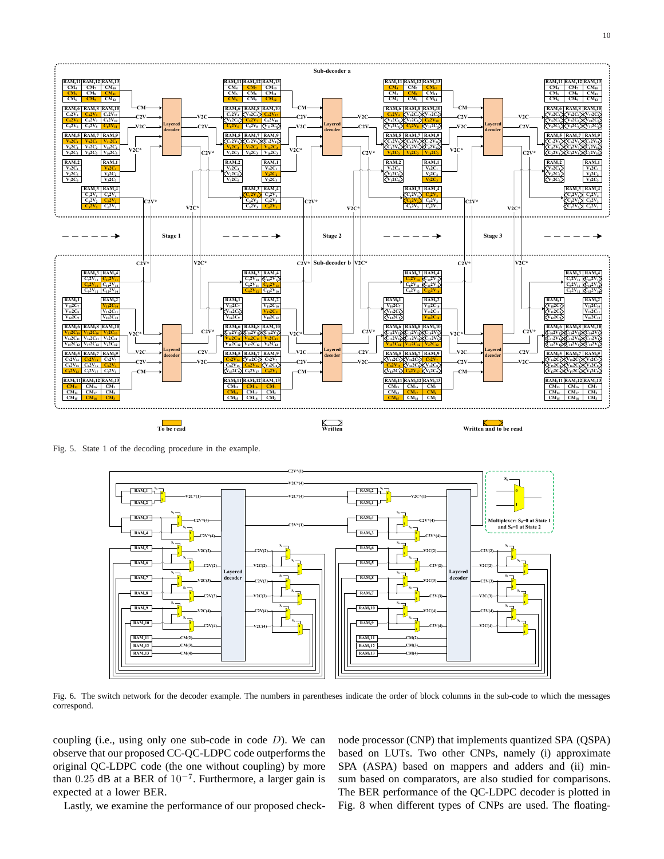

Fig. 5. State 1 of the decoding procedure in the example.



Fig. 6. The switch network for the decoder example. The numbers in parentheses indicate the order of block columns in the sub-code to which the messages correspond.

coupling (i.e., using only one sub-code in code  $D$ ). We can observe that our proposed CC-QC-LDPC code outperforms the original QC-LDPC code (the one without coupling) by more than 0.25 dB at a BER of  $10^{-7}$ . Furthermore, a larger gain is expected at a lower BER.

Lastly, we examine the performance of our proposed check-

node processor (CNP) that implements quantized SPA (QSPA) based on LUTs. Two other CNPs, namely (i) approximate SPA (ASPA) based on mappers and adders and (ii) minsum based on comparators, are also studied for comparisons. The BER performance of the QC-LDPC decoder is plotted in Fig. 8 when different types of CNPs are used. The floating-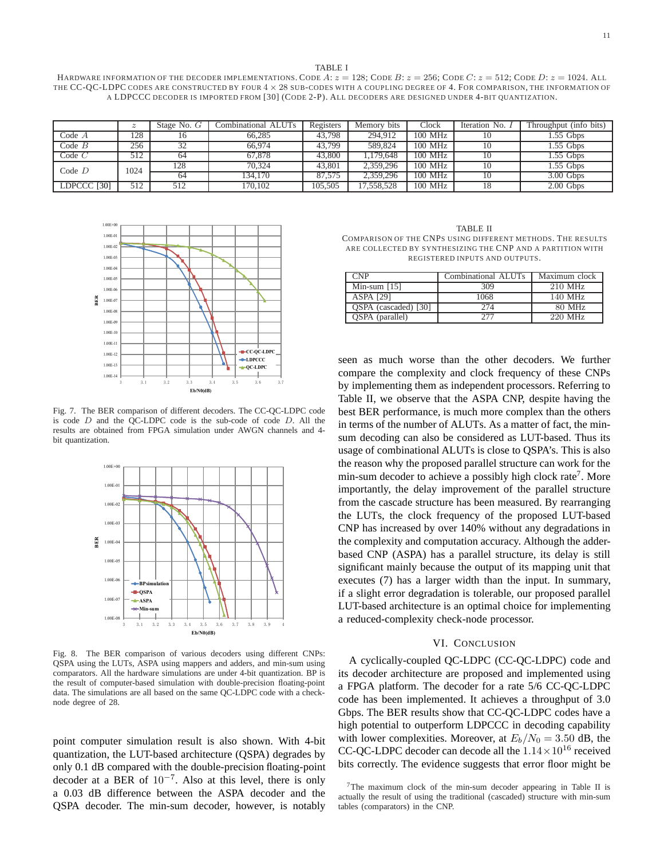#### TABLE I

HARDWARE INFORMATION OF THE DECODER IMPLEMENTATIONS. CODE A:  $z = 128$ ; CODE B:  $z = 256$ ; CODE  $C$ :  $z = 512$ ; CODE D:  $z = 1024$ . ALL THE CC-QC-LDPC CODES ARE CONSTRUCTED BY FOUR  $4 \times 28$  SUB-CODES WITH A COUPLING DEGREE OF 4. FOR COMPARISON, THE INFORMATION OF A LDPCCC DECODER IS IMPORTED FROM [30] (CODE 2-P). ALL DECODERS ARE DESIGNED UNDER 4-BIT QUANTIZATION.

|             | $\boldsymbol{z}$ | Stage No. $G$ | Combinational ALUTs | Registers | Memory bits | Clock   | Iteration No. 1 | Throughput (info bits) |
|-------------|------------------|---------------|---------------------|-----------|-------------|---------|-----------------|------------------------|
| Code $A$    | 128              |               | 66,285              | 43.798    | 294,912     | 100 MHz | 10              | $1.55$ Gbps            |
| $Code$ $B$  | 256              | ے د           | 66,974              | 43,799    | 589,824     | 100 MHz | 10              | $1.55$ Gbps            |
| $Code$ $C$  | 512              | 64            | 67.878              | 43,800    | 1.179.648   | 100 MHz | 10              | $1.55$ Gbps            |
| Code $D$    | 1024             | 128           | 70.324              | 43.801    | 2,359,296   | 100 MHz | 10              | $1.55$ Gbps            |
|             |                  | 64            | 134.170             | 87.575    | 2,359,296   | 100 MHz | 10              | $3.00$ Gbps            |
| LDPCCC [30] | 512              | 512           | 170.102             | 105,505   | 7.558.528   | 100 MHz | 18              | $2.00$ Gbps            |



Fig. 7. The BER comparison of different decoders. The CC-QC-LDPC code is code  $D$  and the OC-LDPC code is the sub-code of code  $D$ . All the results are obtained from FPGA simulation under AWGN channels and 4 bit quantization.



Fig. 8. The BER comparison of various decoders using different CNPs: QSPA using the LUTs, ASPA using mappers and adders, and min-sum using comparators. All the hardware simulations are under 4-bit quantization. BP is the result of computer-based simulation with double-precision floating-point data. The simulations are all based on the same QC-LDPC code with a checknode degree of 28.

point computer simulation result is also shown. With 4-bit quantization, the LUT-based architecture (QSPA) degrades by only 0.1 dB compared with the double-precision floating-point decoder at a BER of  $10^{-7}$ . Also at this level, there is only a 0.03 dB difference between the ASPA decoder and the QSPA decoder. The min-sum decoder, however, is notably

TABLE II COMPARISON OF THE CNPS USING DIFFERENT METHODS. THE RESULTS ARE COLLECTED BY SYNTHESIZING THE CNP AND A PARTITION WITH REGISTERED INPUTS AND OUTPUTS.

| CNP.                 | Combinational ALUTs | Maximum clock |
|----------------------|---------------------|---------------|
| Min-sum $[15]$       | 309                 | 210 MHz       |
| <b>ASPA [29]</b>     | 1068                | 140 MHz       |
| OSPA (cascaded) [30] | 274                 | 80 MHz        |
| OSPA (parallel)      | 277                 | 220 MHz       |

seen as much worse than the other decoders. We further compare the complexity and clock frequency of these CNPs by implementing them as independent processors. Referring to Table II, we observe that the ASPA CNP, despite having the best BER performance, is much more complex than the others in terms of the number of ALUTs. As a matter of fact, the minsum decoding can also be considered as LUT-based. Thus its usage of combinational ALUTs is close to QSPA's. This is also the reason why the proposed parallel structure can work for the min-sum decoder to achieve a possibly high clock rate<sup>7</sup>. More importantly, the delay improvement of the parallel structure from the cascade structure has been measured. By rearranging the LUTs, the clock frequency of the proposed LUT-based CNP has increased by over 140% without any degradations in the complexity and computation accuracy. Although the adderbased CNP (ASPA) has a parallel structure, its delay is still significant mainly because the output of its mapping unit that executes (7) has a larger width than the input. In summary, if a slight error degradation is tolerable, our proposed parallel LUT-based architecture is an optimal choice for implementing a reduced-complexity check-node processor.

## VI. CONCLUSION

A cyclically-coupled QC-LDPC (CC-QC-LDPC) code and its decoder architecture are proposed and implemented using a FPGA platform. The decoder for a rate 5/6 CC-QC-LDPC code has been implemented. It achieves a throughput of 3.0 Gbps. The BER results show that CC-QC-LDPC codes have a high potential to outperform LDPCCC in decoding capability with lower complexities. Moreover, at  $E_b/N_0 = 3.50$  dB, the CC-QC-LDPC decoder can decode all the  $1.14 \times 10^{16}$  received bits correctly. The evidence suggests that error floor might be

 $7$ The maximum clock of the min-sum decoder appearing in Table II is actually the result of using the traditional (cascaded) structure with min-sum tables (comparators) in the CNP.